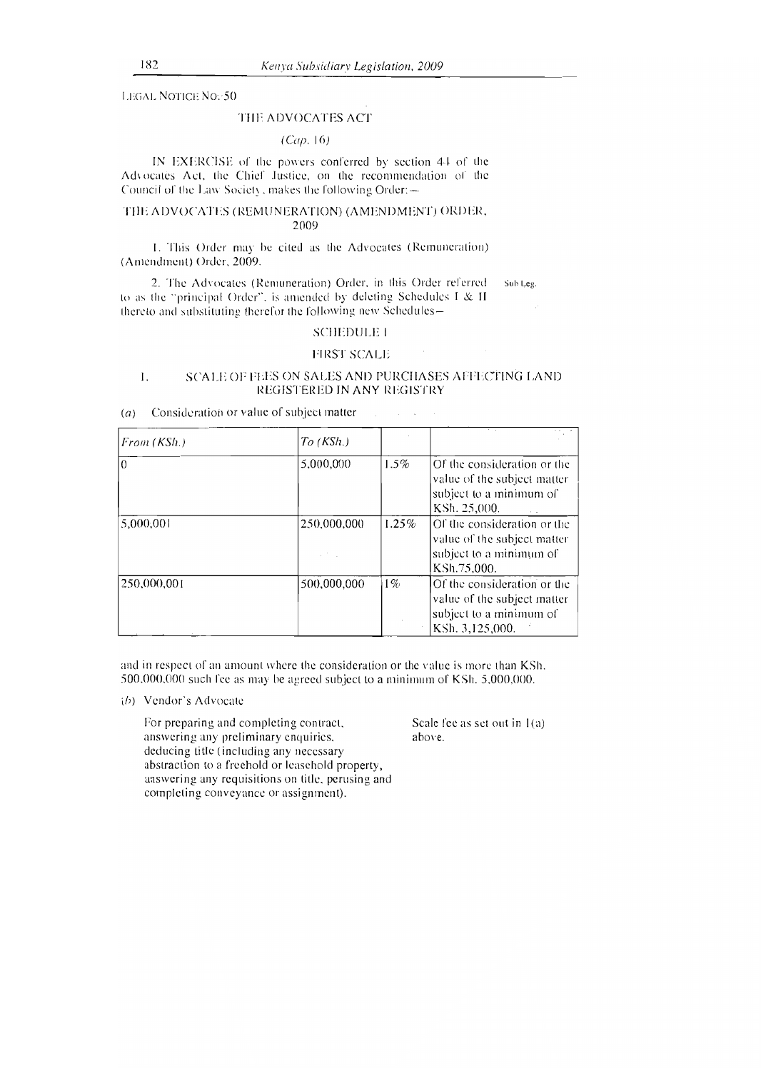LEGAL NOTICE No.-50

# THE ADVOCATES ACT

# *(Cap.* 16)

IN EXERCISE of the powers conferred by section 4-I of the Advocates Act, the Chief Justice, on the recommendation of the Council of the Law Society , makes the following Order:—

### THE ADVOCATES (REMUNERATION) (AMENDMENT) ORDER, 2009

I. This Order may be cited as the Advocates (Remuneration) (Amendment) Order, 2009.

2. The Advocates (Remuneration) Order, in this Order referred sub Leg. to as the "principal Order", is amended by deleting Schedules I & II thereto and substituting therefor the following new Schedules—

# SCHEDULE I

### FIRST SCALE

# I. SCALE OF FEES ON SALES AND PURCHASES AFFECTING LAND REGISTERED IN ANY REGISTRY

### *(a)* Consideration or value of subject matter

| From(KSh.)  | $To$ (KSh.) |       |                                                                                                          |
|-------------|-------------|-------|----------------------------------------------------------------------------------------------------------|
| $\Omega$    | 5,000,000   | 1.5%  | Of the consideration or the<br>value of the subject matter<br>subject to a minimum of<br>KSh. 25,000.    |
| 5,000,001   | 250,000,000 | 1.25% | Of the consideration or the<br>value of the subject matter<br>subject to a minimum of<br>KSh.75,000.     |
| 250,000,001 | 500,000,000 | $1\%$ | Of the consideration or the<br>value of the subject matter<br>subject to a minimum of<br>KSh. 3,125,000. |

and in respect of an amount where the consideration or the value is more than KSh. 500,000,000 such fee as may be agreed subject to a minimum of KSh. 5,000,000.

### *(h)* Vendor's Advocate

For preparing and completing contract, answering any preliminary enquiries, deducing title (including any necessary abstraction to a freehold or leasehold property, answering any requisitions on title, perusing and completing conveyance or assignment).

Scale fee as set out in 1(a) above.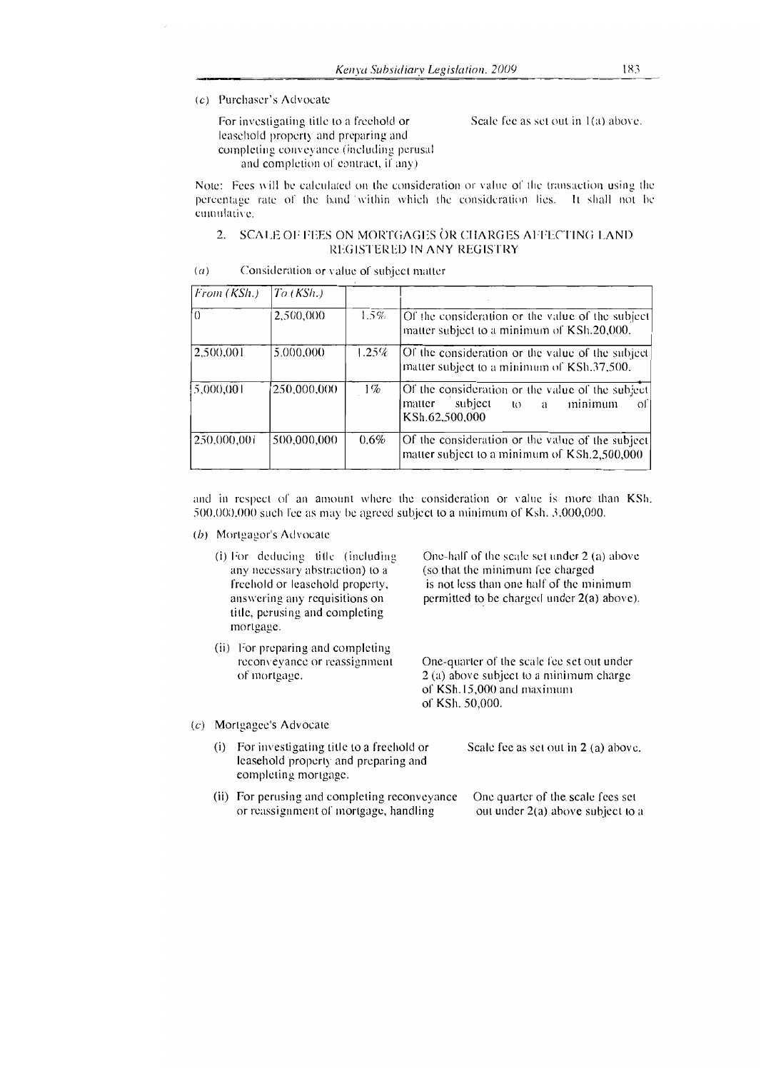# (c) Purchaser's Advocate

For investigating title to a freehold or Scale fee as set out in  $1(a)$  above. leasehold property and preparing and completing conveyance (including perusal and completion of contract, it any)

Note: Fees will be calculated on the consideration or value of the transaction using the percentage rate of the band within which the consideration lies. It shall not be emulative.

# 2. SCALE OF FEES ON MORTGAGES OR CHARGES AFFECTING LAND REGISTERED IN ANY REGISTRY

| $\left( a\right)$ | Consideration or value of subject matter |  |  |
|-------------------|------------------------------------------|--|--|
|-------------------|------------------------------------------|--|--|

| From (KSh.) | $To$ (KSh.) |         |                                                                                                               |
|-------------|-------------|---------|---------------------------------------------------------------------------------------------------------------|
|             | 2,500,000   | $1.5\%$ | Of the consideration or the value of the subject<br>matter subject to a minimum of KSh.20,000.                |
| 2.500,001   | 5,000,000   | 1.25%   | Of the consideration or the value of the subject<br>matter subject to a minimum of KSh.37,500.                |
| 5,000,001   | 250,000,000 | $1\%$   | Of the consideration or the value of the subject<br>subject to a<br>minimum<br>matter<br>ΩL<br>KSh.62,500,000 |
| 250,000,001 | 500,000,000 | $0.6\%$ | Of the consideration or the value of the subject<br>matter subject to a minimum of KSh.2,500,000              |

and in respect of an amount where the consideration or value is more than KSh. 500,000,000 such *fee* as may he agreed subject to a minimum of Ksh. 3,000,000.

*(b)* Mortgagor's Advocate

|     | (i) For deducing title (including<br>any necessary abstraction) to a<br>freehold or leasehold property,<br>answering any requisitions on<br>title, perusing and completing<br>mortgage. | One-half of the scale set under $2$ (a) above<br>(so that the minimum fee charged<br>is not less than one half of the minimum<br>permitted to be charged under 2(a) above). |
|-----|-----------------------------------------------------------------------------------------------------------------------------------------------------------------------------------------|-----------------------------------------------------------------------------------------------------------------------------------------------------------------------------|
|     | (ii) For preparing and completing<br>reconveyance or reassignment<br>of mortgage.                                                                                                       | One-quarter of the scale fee set out under<br>2 (a) above subject to a minimum charge<br>of KSh.15,000 and maximum<br>of KSh. 50,000.                                       |
| (c) | Mortgagee's Advocate                                                                                                                                                                    |                                                                                                                                                                             |

- - (i) For investigating title to a freehold or Scale fee as set out in  $2$  (a) above. leasehold 'property and preparing and completing mortgage.
	- (ii) For perusing and completing reconveyance One quarter of the scale fees set<br>or reassignment of mortgage, handling out under  $2(a)$  above subject to a or reassignment of mortgage, handling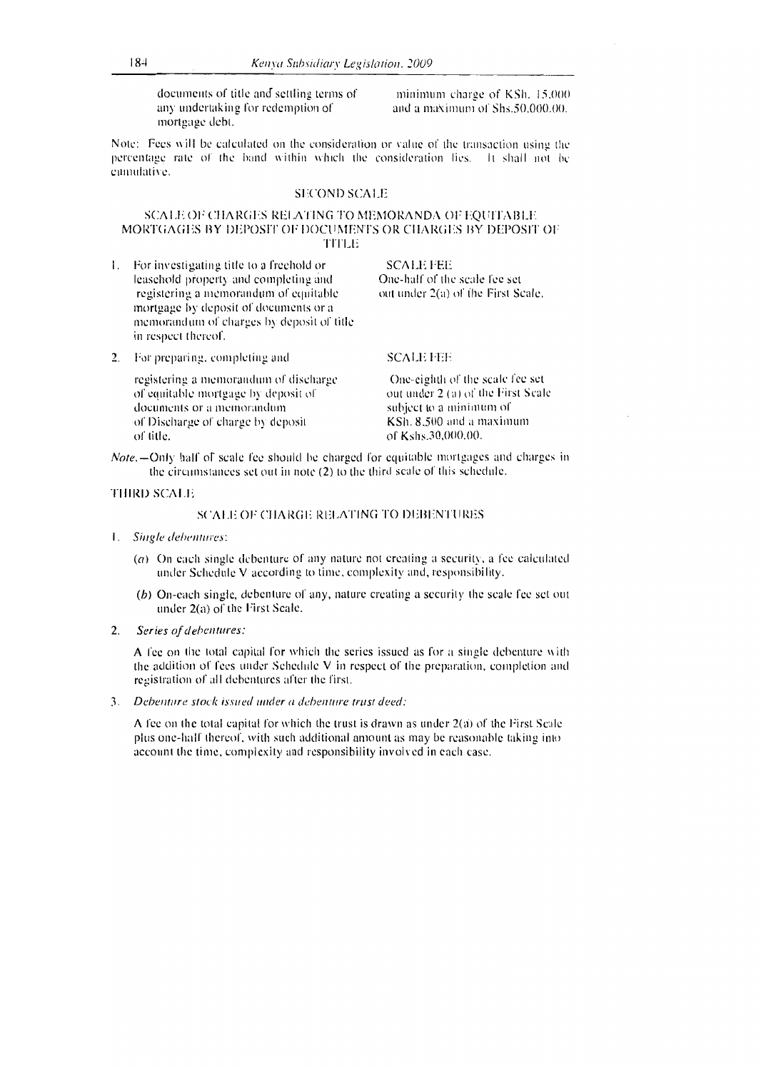documents of title and settling terms of minimum charge of KSh. 15,000 any undertaking for redemption of and a maximum of Shs.50,000.00. mortgage debt.

Note: Fees will be calculated on the consideration or value of the transaction using the percentage rate of the hand within which the consideration lies. It shall not he cumulative.

# SECOND SCALE

### SCALE OE CHARGES RELATING TO MEMORANDA OF EQUITABLE MORTGAGES BY DEPOSIT OF DOCUMENTS OR CHARGES BY DEPOSIT OF TITLE

- I. For investigating title to a freehold or leasehold property and completing and registering a memorandum of equitable mortgage by deposit of documents or a memorandum of charges by deposit of title in respect thereof.
- 2. For preparing. completing and

registering a memorandum of discharge of equitable mortgage by deposit of documents or a memorandum of Discharge of charge by deposit of title.

SCALE FEE

SCALE FEE

One-half of the scale fee set out under 2(a) of (he First Scale.

One-eighth of the scale fee set out under 2 (a) of the First Scale subject to a minimum of KSh. 8,500 and a maximum of Kshs.30,000.00.

*Note*, —Only half of scale fee should be charged for equitable mortgages and charges in the circumstances set out in note (2) to the third scale of this schedule.

#### THIRD SCALE

### SCALE OF CHARGE RELATING TO DEBENTURES

- I. *Single debentures:* 
	- (a) On each single debenture of any nature not creating a security, a fee calculated under Schedule V according to time, complexity and, responsibility.
	- (b) On-each single, debenture of any, nature creating a security the scale fee set out under 2(a) of the First Scale.
- *2. Series of debentures:*

A fee on the total capital for which the series issued as for a single debenture with the addition of fees under Schedule V in respect of the preparation, completion and registration of all debentures after the first.

*3. Debenture stock issued under a debenture trust deed:* 

A fee on the total capital for which the trust is drawn as under 2(a) of the First Scale plus one-half thereof, with such additional amount as may be reasonable taking into account the time, complexity and responsibility involved in each case.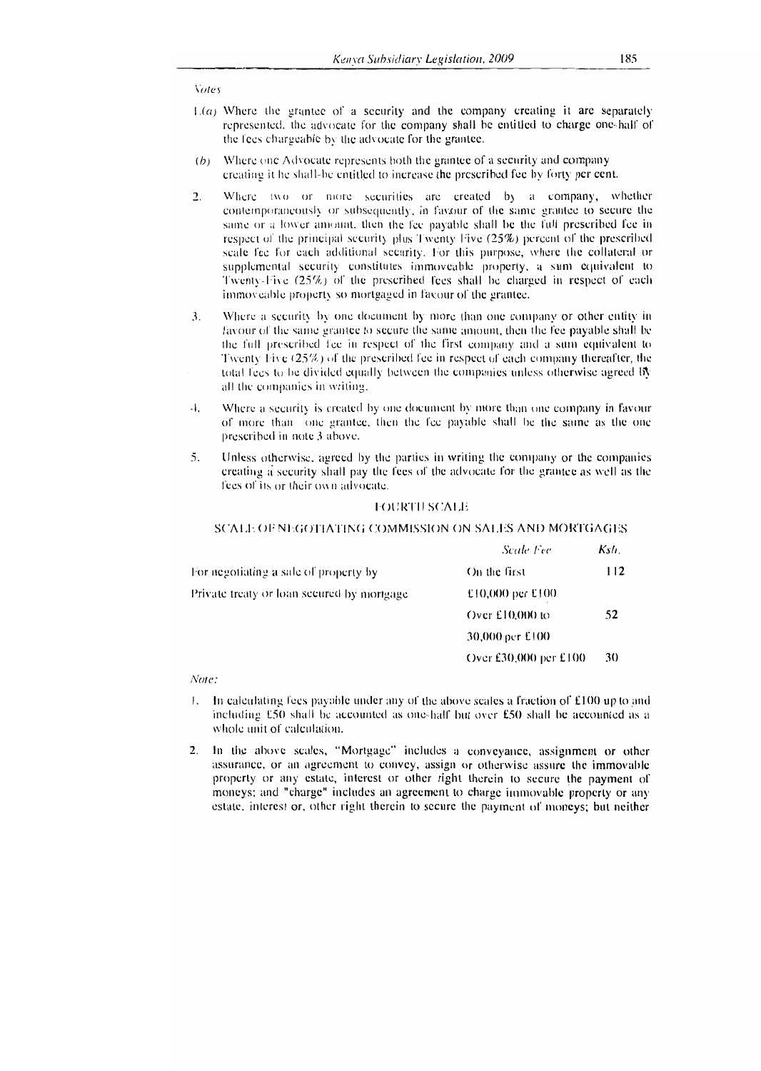**Notes** 

- $\mathcal{V}(a)$ . Where the grantee of a security and the company creating it arc separately represented. the advocate for the company shall he entitled to charge one-half of the fees chargeable by the advocate for the grantee.
- Where one Advocate represents both the grantee of a security and company creating it he shall-he entitled to increase the prescribed fee by forty per cent.
- 2. Where two or more securities are created by a company, whether contemporaneously or subsequently, in favour of the same grantee to secure the same or a lower amount, then the fee payable shall be the full prescribed fee in respect of the principal security plus Twenty Five (25%) percent of the prescribed scale fee for each additional security. For this purpose, where the collateral or supplemental security constitutes immoveable property, a sum equivalent to Twenty-Five (25%) of the prescribed fees shall be charged in respect of each immoveable property so mortgaged in favour of the grantee.
- 3. Where a security by one document by more than one company or other entity in favour of the saute grantee to secure the same amount, then the fee payable shall be the full prescribed fee in respect of the first company and a sum equivalent to Twenty Five  $(25\%)$  of the prescribed fee in respect of each company thereafter, the total fees to he divided equally between the companies unless otherwise agreed bt all the companies in writing.
- $-1$ . Where a security is created by one document by more than one company in favour of more than one grantee, then the fee payable shall be the same as the one prescribed in note 3 above.
- 5. Unless otherwise, agreed by the parties in writing the company or the companies creating a security shall pay the fees of the advocate for the grantee as well as the fees of its or their own advocate.

### **TOURTH SCALE**

### SCALE OF NEGOTIATING COMMISSION ON SALES AND MORTGAGES

|                                            | Scale Fec             | Kslı. |
|--------------------------------------------|-----------------------|-------|
| For negotiating a sale of property by      | On the first          | 112   |
| Private treaty or loan secured by mortgage | £10,000 per £100      |       |
|                                            | Over $£10,000$ to     | 52    |
|                                            | 30,000 pcr £100       |       |
|                                            | Over £30,000 per £100 | 30    |

Note:

- $\mathbf{L}$ In calculating fees payable under any of the above scales a fraction of E100 up to and including  $E50$  shall be accounted as one-half but over  $E50$  shall be accounted as a whole unit of calculation.
- 2. In the above scales, "Mortgage" includes a conveyance, assignment or other assurance, or an agreement to convey, assign or otherwise assure the immovable property or any estate, interest or other right therein to secure the payment of moneys; and "charge" includes an agreement to charge immovable property or any estate. interest or, other right therein to secure the payment of moneys; but neither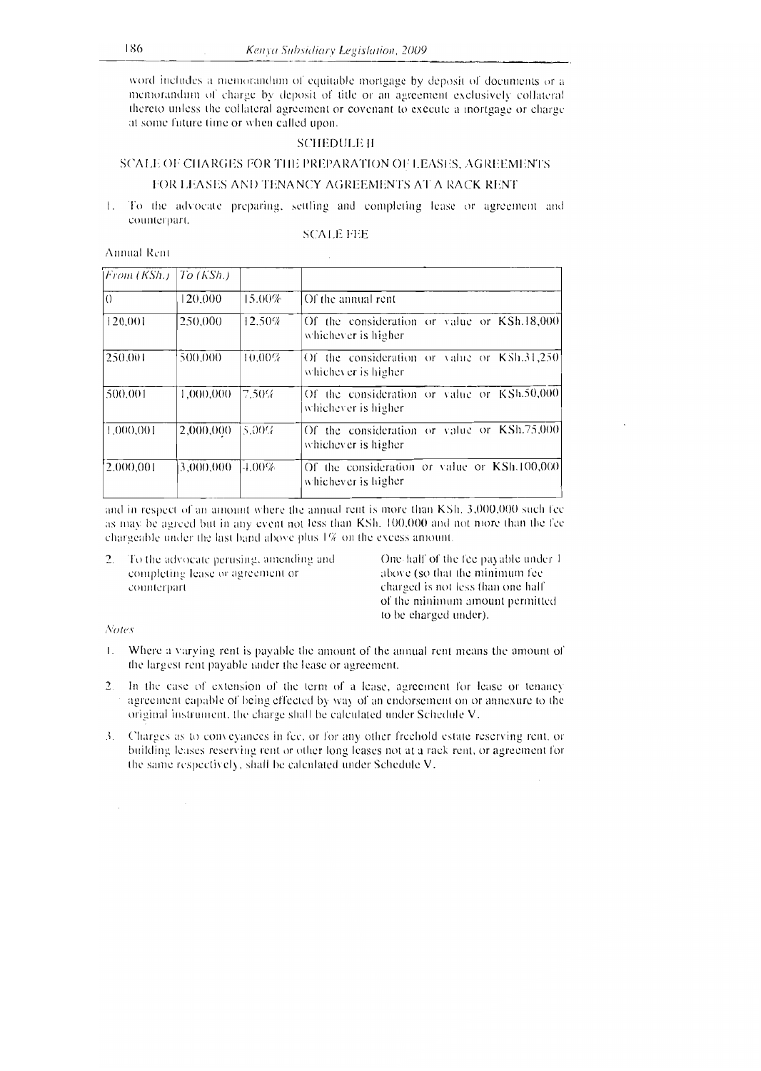word includes a memorandum of equitable mortgage by deposit of documents or a memorandum of charge by deposit of title or an agreement exclusively collateral thereto unless the collateral agreement or covenant to execute a mortgage or charge at some future time or when called upon.

# SCHEDULE II

# SCALE OF CHARGES FOR THE PREPARATION OF LEASES, AGREEMENTS

# FOR LEASES AND TENANCY AGREEMENTS AT A RACK RENT

I. To the advocate preparing, settling and completing lease or agreement and counterpart.

# SCALE FEE

Annual Rent

| From (KSh.) | To (KSh.) |           |                                                                     |
|-------------|-----------|-----------|---------------------------------------------------------------------|
| $\vert$ ()  | 120,000   | 15.00%    | Of the annual rent                                                  |
| 120,001     | 250,000   | 12.50%    | Of the consideration or value or KSh.18,000<br>whichever is higher  |
| 250.001     | 500,000   | $10.00\%$ | Of the consideration or value or KSh.31,250<br>whichever is higher  |
| 500.001     | 1,000,000 | 7.50%     | Of the consideration or value or KSh.50,000<br>whichever is higher  |
| 1,000,001   | 2,000,000 | 5.00%     | Of the consideration or value or KSh.75,000<br>whichever is higher  |
| 2.000,001   | 3,000,000 | $-1.00%$  | Of the consideration or value or KSh.100,000<br>whichever is higher |

and in respect of an amount where the annual rent is more than KSh. 3,000,000 such fee as may be agreed but in any event not less than KSh. 100.000 and not more than the lee chargeable under the last band above plus 1% on the excess amount.

2. To the advocate perusing, amending and One-half of the fee payable under 1 completing lease or agreement or above (so that the minimum fee completing lease or agreement or<br>counterpart

charged is not less than one half of the minimum amount permitted to be charged under).

### ;Voles

- I. Where a varying rent is payable the amount of the annual rent means the amount of the largest rent payable under the lease or agreement.
- 2. In the case of extension of the term of a lease, agreement for lease or tenancy agreement capable of being effected by way of an endorsement on or annexure to the original instrument. the charge shall be calculated under Schedule V.
- 3. Charges as to conveyances in fee, or for any other freehold estate reserving rent, or building leases reserving rent or other long leases not at a rack rent, or agreement for the same respectively, shall be calculated under Schedule V.